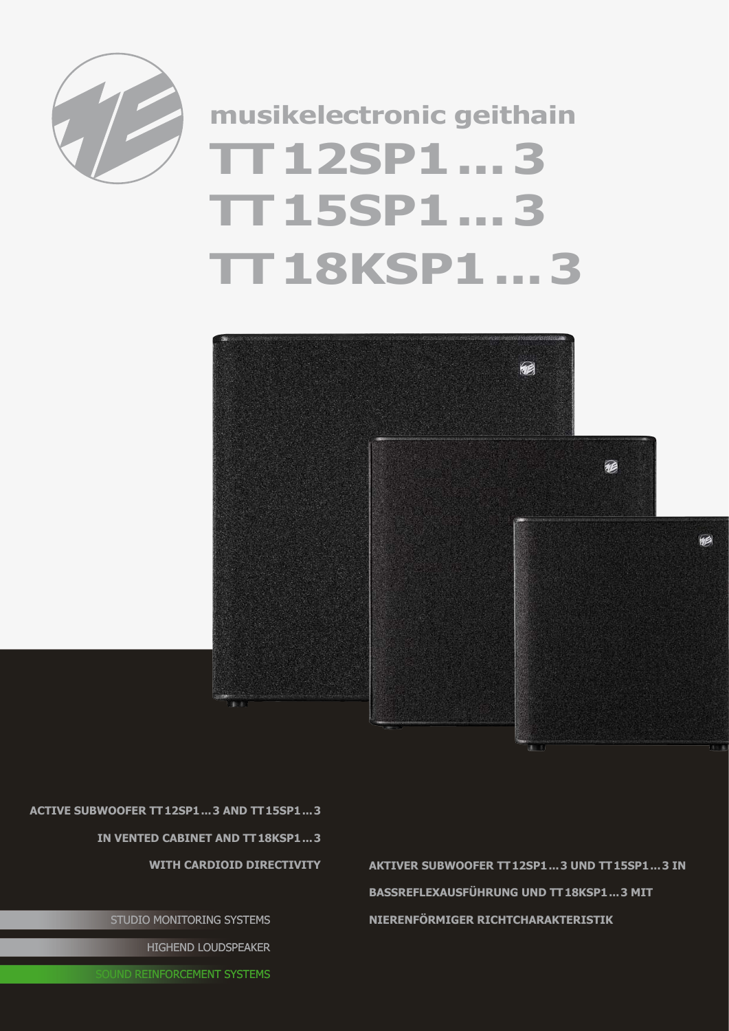

## **TT12SP1...3 TT15SP1...3 TT18KSP1...3 musikelectronic geithain**



**Active Subwoofer TT12SP1...3 and TT15SP1...3 in vented cabinet and TT18KSP1...3** 

STUDIO MONITORING SYSTEMS

HIGHEND LOUDSPEAKER

**JUND REINFORCEMENT SYSTEMS** 

WITH CARDIOID DIRECTIVITY **AKTIVER SUBWOOFER TT12SP1...3 UND TT15SP1...3 IN BassreflexAusführung und TT18KSP1...3 mit nierenförmiger Richtcharakteristik**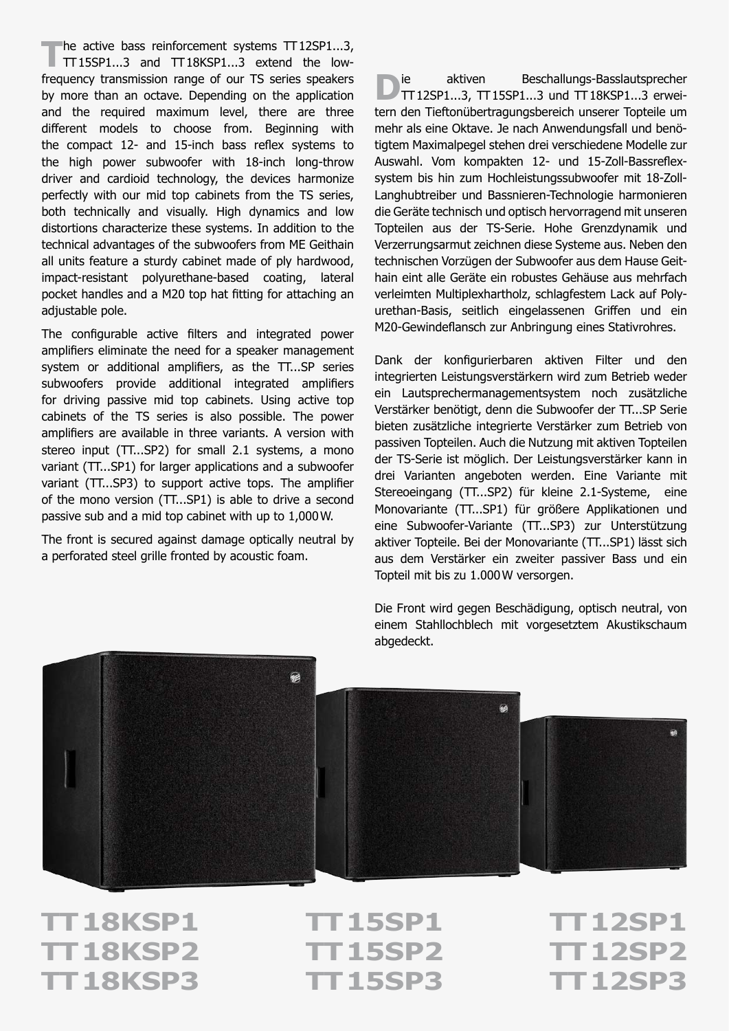The active bass reinforcement systems TT12SP1...3,<br>
TT15SP1...3 and TT18KSP1...3 extend the lowfrequency transmission range of our TS series speakers by more than an octave. Depending on the application and the required maximum level, there are three different models to choose from. Beginning with the compact 12- and 15-inch bass reflex systems to the high power subwoofer with 18-inch long-throw driver and cardioid technology, the devices harmonize perfectly with our mid top cabinets from the TS series, both technically and visually. High dynamics and low distortions characterize these systems. In addition to the technical advantages of the subwoofers from ME Geithain all units feature a sturdy cabinet made of ply hardwood, impact-resistant polyurethane-based coating, lateral pocket handles and a M20 top hat fitting for attaching an adjustable pole.

The configurable active filters and integrated power amplifiers eliminate the need for a speaker management system or additional amplifiers, as the TT...SP series subwoofers provide additional integrated amplifiers for driving passive mid top cabinets. Using active top cabinets of the TS series is also possible. The power amplifiers are available in three variants. A version with stereo input (TT...SP2) for small 2.1 systems, a mono variant (TT...SP1) for larger applications and a subwoofer variant (TT...SP3) to support active tops. The amplifier of the mono version (TT...SP1) is able to drive a second passive sub and a mid top cabinet with up to 1,000W.

The front is secured against damage optically neutral by a perforated steel grille fronted by acoustic foam.

**D**ie aktiven Beschallungs-Basslautsprecher<br>
TT12SP1...3, TT15SP1...3 und TT18KSP1...3 erweitern den Tieftonübertragungsbereich unserer Topteile um mehr als eine Oktave. Je nach Anwendungsfall und benötigtem Maximalpegel stehen drei verschiedene Modelle zur Auswahl. Vom kompakten 12- und 15-Zoll-Bassreflexsystem bis hin zum Hochleistungssubwoofer mit 18-Zoll-Langhubtreiber und Bassnieren-Technologie harmonieren die Geräte technisch und optisch hervorragend mit unseren Topteilen aus der TS-Serie. Hohe Grenzdynamik und Verzerrungsarmut zeichnen diese Systeme aus. Neben den technischen Vorzügen der Subwoofer aus dem Hause Geithain eint alle Geräte ein robustes Gehäuse aus mehrfach verleimten Multiplexhartholz, schlagfestem Lack auf Polyurethan-Basis, seitlich eingelassenen Griffen und ein M20-Gewindeflansch zur Anbringung eines Stativrohres.

Dank der konfigurierbaren aktiven Filter und den integrierten Leistungsverstärkern wird zum Betrieb weder ein Lautsprechermanagementsystem noch zusätzliche Verstärker benötigt, denn die Subwoofer der TT...SP Serie bieten zusätzliche integrierte Verstärker zum Betrieb von passiven Topteilen. Auch die Nutzung mit aktiven Topteilen der TS-Serie ist möglich. Der Leistungsverstärker kann in drei Varianten angeboten werden. Eine Variante mit Stereoeingang (TT...SP2) für kleine 2.1-Systeme, eine Monovariante (TT...SP1) für größere Applikationen und eine Subwoofer-Variante (TT...SP3) zur Unterstützung aktiver Topteile. Bei der Monovariante (TT...SP1) lässt sich aus dem Verstärker ein zweiter passiver Bass und ein Topteil mit bis zu 1.000W versorgen.

Die Front wird gegen Beschädigung, optisch neutral, von einem Stahllochblech mit vorgesetztem Akustikschaum

晒 **BB** 

abgedeckt.

**TT18KSP1 TT15SP1 TT12SP1 TT18KSP2 TT15SP2 TT12SP2 TT18KSP3 TT15SP3 TT12SP3**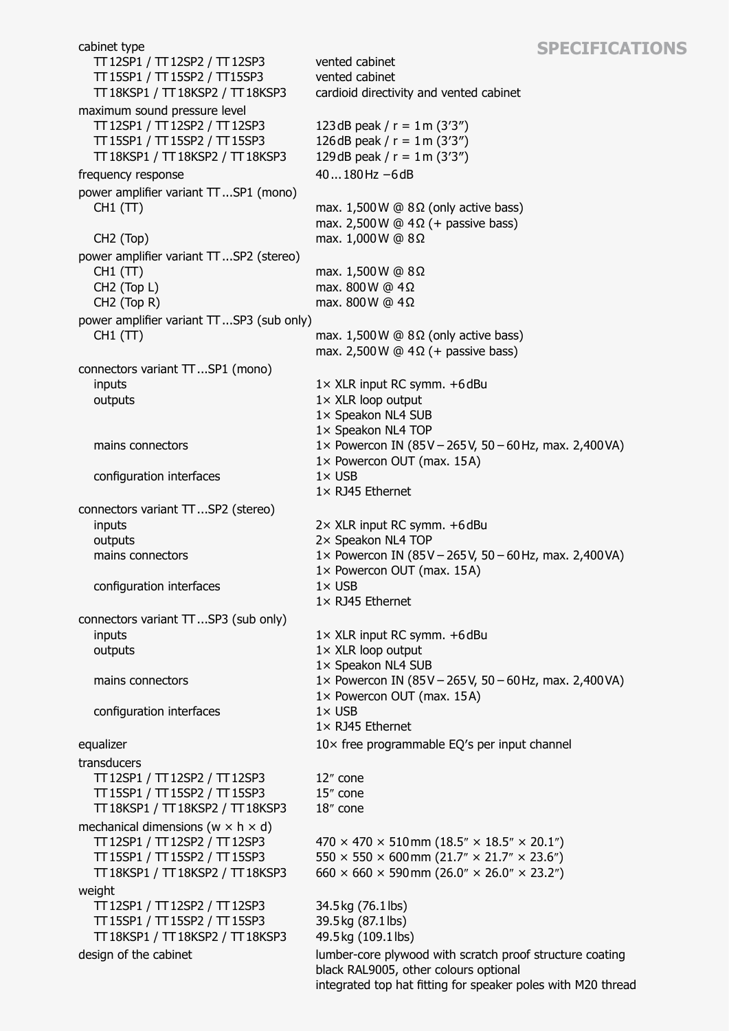## **Specifications**

cabinet type TT12SP1 / TT12SP2 / TT12SP3 TT15SP1 / TT15SP2 / TT15SP3 TT18KSP1 / TT18KSP2 / TT18KSP3 vented cabinet vented cabinet cardioid directivity and vented cabinet maximum sound pressure level TT12SP1 / TT12SP2 / TT12SP3 TT15SP1 / TT15SP2 / TT15SP3 TT18KSP1 / TT18KSP2 / TT18KSP3 123dB peak /  $r = 1$  m (3'3") 126dB peak /  $r = 1$  m (3'3") 129dB peak /  $r = 1$  m (3'3") frequency response 40...180Hz −6dB power amplifier variant TT...SP1 (mono) CH1 (TT) CH2 (Top) max.  $1,500W$  @  $8Ω$  (only active bass) max. 2,500 W @  $4\Omega$  (+ passive bass) max. 1,000W @ 8Ω power amplifier variant TT...SP2 (stereo) CH1 (TT) CH2 (Top L) CH2 (Top R) max. 1,500W @ 8Ω max. 800W @ 4Ω max. 800W @ 4Ω power amplifier variant TT...SP3 (sub only) CH1 (TT) max.  $1,500W \oplus 8\Omega$  (only active bass) max. 2,500 W  $@$  4Ω (+ passive bass) connectors variant TT...SP1 (mono) inputs outputs mains connectors configuration interfaces 1× XLR input RC symm. +6dBu 1× XLR loop output 1× Speakon NL4 SUB 1× Speakon NL4 TOP 1× Powercon IN (85V−265V, 50−60Hz, max. 2,400VA) 1× Powercon OUT (max. 15A) 1× USB 1× RJ45 Ethernet connectors variant TT...SP2 (stereo) inputs outputs mains connectors configuration interfaces 2× XLR input RC symm. +6dBu 2× Speakon NL4 TOP 1× Powercon IN (85V−265V, 50−60Hz, max. 2,400VA) 1× Powercon OUT (max. 15A) 1× USB 1× RJ45 Ethernet connectors variant TT...SP3 (sub only) inputs outputs mains connectors configuration interfaces 1× XLR input RC symm. +6dBu 1× XLR loop output 1× Speakon NL4 SUB 1× Powercon IN (85V−265V, 50−60Hz, max. 2,400VA) 1× Powercon OUT (max. 15A)  $1\times$  USB 1× RJ45 Ethernet equalizer 10× free programmable EQ's per input channel transducers TT12SP1 / TT12SP2 / TT12SP3 TT15SP1 / TT15SP2 / TT15SP3 TT18KSP1 / TT18KSP2 / TT18KSP3 12″ cone 15″ cone 18″ cone mechanical dimensions ( $w \times h \times d$ ) TT12SP1 / TT12SP2 / TT12SP3 TT15SP1 / TT15SP2 / TT15SP3 TT18KSP1 / TT18KSP2 / TT18KSP3  $470 \times 470 \times 510$  mm  $(18.5'' \times 18.5'' \times 20.1'')$  $550 \times 550 \times 600$  mm  $(21.7'' \times 21.7'' \times 23.6'')$ 660  $\times$  660  $\times$  590 mm (26.0"  $\times$  26.0"  $\times$  23.2") weight TT12SP1 / TT12SP2 / TT12SP3 TT15SP1 / TT15SP2 / TT15SP3 TT18KSP1 / TT18KSP2 / TT18KSP3 34.5kg (76.1lbs) 39.5kg (87.1lbs) 49.5kg (109.1lbs) design of the cabinet lumber-core plywood with scratch proof structure coating black RAL9005, other colours optional integrated top hat fitting for speaker poles with M20 thread